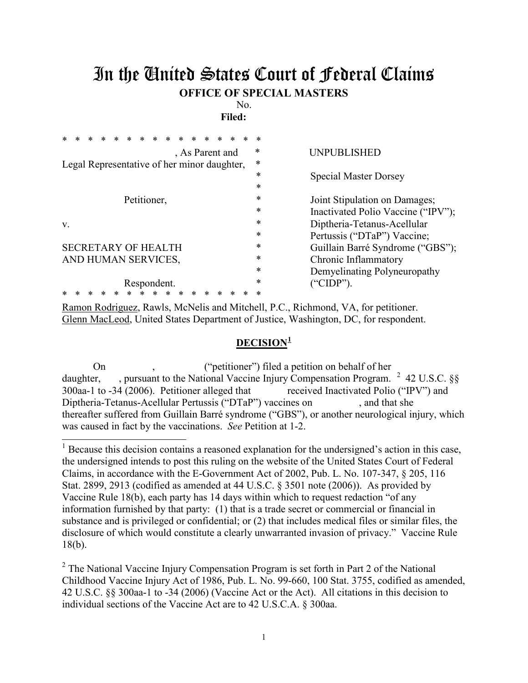## In the United States Court of Federal Claims **OFFICE OF SPECIAL MASTERS**

No.

**Filed:** 

|                                             | ∗      |                                    |
|---------------------------------------------|--------|------------------------------------|
| , As Parent and                             | $\ast$ | <b>UNPUBLISHED</b>                 |
| Legal Representative of her minor daughter, | *      |                                    |
|                                             | $\ast$ | <b>Special Master Dorsey</b>       |
|                                             | *      |                                    |
| Petitioner,                                 | *      | Joint Stipulation on Damages;      |
|                                             | *      | Inactivated Polio Vaccine ("IPV"); |
| V.                                          | *      | Diptheria-Tetanus-Acellular        |
|                                             | *      | Pertussis ("DTaP") Vaccine;        |
| <b>SECRETARY OF HEALTH</b>                  | *      | Guillain Barré Syndrome ("GBS");   |
| AND HUMAN SERVICES,                         | *      | Chronic Inflammatory               |
|                                             | *      | Demyelinating Polyneuropathy       |
| Respondent.                                 | $\ast$ | ("CIDP").                          |
|                                             | ∗      |                                    |

Ramon Rodriguez, Rawls, McNelis and Mitchell, P.C., Richmond, VA, for petitioner. Glenn MacLeod, United States Department of Justice, Washington, DC, for respondent.

 $\overline{a}$ 

## **DECISION[1](#page-0-0)**

On , ("petitioner") filed a petition on behalf of her daughter,  $\blacksquare$ , pursuant to the National Vaccine Injury Compensation Program.  $\frac{2}{3}$  $\frac{2}{3}$  $\frac{2}{3}$  42 U.S.C. §§ 300aa-1 to -34 (2006). Petitioner alleged that received Inactivated Polio ("IPV") and Diptheria-Tetanus-Acellular Pertussis ("DTaP") vaccines on , and that she thereafter suffered from Guillain Barré syndrome ("GBS"), or another neurological injury, which was caused in fact by the vaccinations. *See* Petition at 1-2.

<span id="page-0-0"></span><sup>1</sup> Because this decision contains a reasoned explanation for the undersigned's action in this case, the undersigned intends to post this ruling on the website of the United States Court of Federal Claims, in accordance with the E-Government Act of 2002, Pub. L. No. 107-347, § 205, 116 Stat. 2899, 2913 (codified as amended at 44 U.S.C. § 3501 note (2006)). As provided by Vaccine Rule 18(b), each party has 14 days within which to request redaction "of any information furnished by that party: (1) that is a trade secret or commercial or financial in substance and is privileged or confidential; or (2) that includes medical files or similar files, the disclosure of which would constitute a clearly unwarranted invasion of privacy." Vaccine Rule 18(b).

<span id="page-0-1"></span> $2$  The National Vaccine Injury Compensation Program is set forth in Part 2 of the National Childhood Vaccine Injury Act of 1986, Pub. L. No. 99-660, 100 Stat. 3755, codified as amended, 42 U.S.C. §§ 300aa-1 to -34 (2006) (Vaccine Act or the Act). All citations in this decision to individual sections of the Vaccine Act are to 42 U.S.C.A. § 300aa.